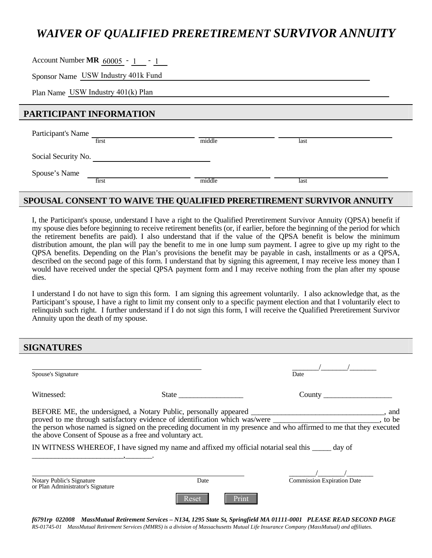# *WAIVER OF QUALIFIED PRERETIREMENT SURVIVOR ANNUITY*

Account Number **MR**  $\frac{60005 - 1}{2}$  - 1

Sponsor Name  $\sqrt{USW}$  Industry 401k Fund<br>Plan Name USW Industry 401(k) Plan Plan Name USW Industry 401(k) Plan

# **PARTICIPANT INFORMATION**

| Participant's Name  | first | middle | last |  |
|---------------------|-------|--------|------|--|
| Social Security No. |       |        |      |  |
| Spouse's Name       | first | middle | last |  |

# **SPOUSAL CONSENT TO WAIVE THE QUALIFIED PRERETIREMENT SURVIVOR ANNUITY**

I, the Participant's spouse, understand I have a right to the Qualified Preretirement Survivor Annuity (QPSA) benefit if my spouse dies before beginning to receive retirement benefits (or, if earlier, before the beginning of the period for which the retirement benefits are paid). I also understand that if the value of the QPSA benefit is below the minimum distribution amount, the plan will pay the benefit to me in one lump sum payment. I agree to give up my right to the QPSA benefits. Depending on the Plan's provisions the benefit may be payable in cash, installments or as a QPSA, described on the second page of this form. I understand that by signing this agreement, I may receive less money than I would have received under the special QPSA payment form and I may receive nothing from the plan after my spouse dies.

I understand I do not have to sign this form. I am signing this agreement voluntarily. I also acknowledge that, as the Participant's spouse, I have a right to limit my consent only to a specific payment election and that I voluntarily elect to relinquish such right. I further understand if I do not sign this form, I will receive the Qualified Preretirement Survivor Annuity upon the death of my spouse.

**SIGNATURES** 

| Spouse's Signature                                                                                                                                           |               | Date                                       |  |  |  |
|--------------------------------------------------------------------------------------------------------------------------------------------------------------|---------------|--------------------------------------------|--|--|--|
| Witnessed:                                                                                                                                                   |               |                                            |  |  |  |
| the above Consent of Spouse as a free and voluntary act.<br>IN WITNESS WHEREOF, I have signed my name and affixed my official notarial seal this same day of |               |                                            |  |  |  |
| Notary Public's Signature<br>or Plan Administrator's Signature                                                                                               | Date<br>Reset | <b>Commission Expiration Date</b><br>Print |  |  |  |

*f6791rp 022008 MassMutual Retirement Services – N134, 1295 State St, Springfield MA 01111-0001 PLEASE READ SECOND PAGE RS-01745-01 MassMutual Retirement Services (MMRS) is a division of Massachusetts Mutual Life Insurance Company (MassMutual) and affiliates.*